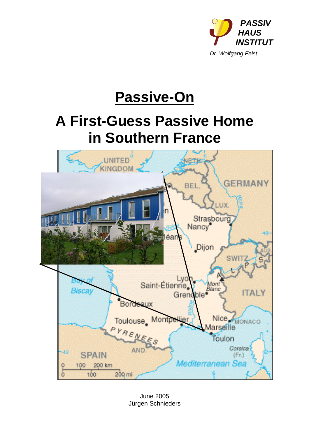

# **Passive-On**

# **A First-Guess Passive Home in Southern France**



June 2005 Jürgen Schnieders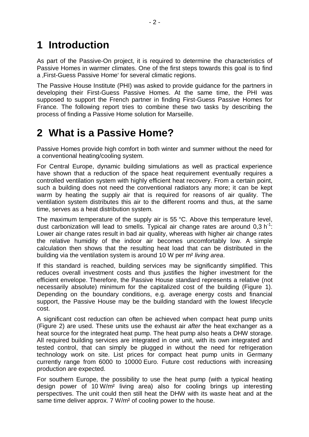## **1 Introduction**

As part of the Passive-On project, it is required to determine the characteristics of Passive Homes in warmer climates. One of the first steps towards this goal is to find a First-Guess Passive Home' for several climatic regions.

The Passive House Institute (PHI) was asked to provide guidance for the partners in developing their First-Guess Passive Homes. At the same time, the PHI was supposed to support the French partner in finding First-Guess Passive Homes for France. The following report tries to combine these two tasks by describing the process of finding a Passive Home solution for Marseille.

## **2 What is a Passive Home?**

Passive Homes provide high comfort in both winter and summer without the need for a conventional heating/cooling system.

For Central Europe, dynamic building simulations as well as practical experience have shown that a reduction of the space heat requirement eventually requires a controlled ventilation system with highly efficient heat recovery. From a certain point, such a building does not need the conventional radiators any more; it can be kept warm by heating the supply air that is required for reasons of air quality. The ventilation system distributes this air to the different rooms and thus, at the same time, serves as a heat distribution system.

The maximum temperature of the supply air is 55 °C. Above this temperature level, dust carbonization will lead to smells. Typical air change rates are around  $0,3 h^{-1}$ : Lower air change rates result in bad air quality, whereas with higher air change rates the relative humidity of the indoor air becomes uncomfortably low. A simple calculation then shows that the resulting heat load that can be distributed in the building via the ventilation system is around 10 W per m<sup>2</sup> living area.

If this standard is reached, building services may be significantly simplified. This reduces overall investment costs and thus justifies the higher investment for the efficient envelope. Therefore, the Passive House standard represents a relative (not necessarily absolute) minimum for the capitalized cost of the building (Figure 1). Depending on the boundary conditions, e.g. average energy costs and financial support, the Passive House may be the building standard with the lowest lifecycle cost.

A significant cost reduction can often be achieved when compact heat pump units (Figure 2) are used. These units use the exhaust air after the heat exchanger as a heat source for the integrated heat pump. The heat pump also heats a DHW storage. All required building services are integrated in one unit, with its own integrated and tested control, that can simply be plugged in without the need for refrigeration technology work on site. List prices for compact heat pump units in Germany currently range from 6000 to 10000 Euro. Future cost reductions with increasing production are expected.

For southern Europe, the possibility to use the heat pump (with a typical heating design power of 10 W/m² living area) also for cooling brings up interesting perspectives. The unit could then still heat the DHW with its waste heat and at the same time deliver approx. 7 W/m<sup>2</sup> of cooling power to the house.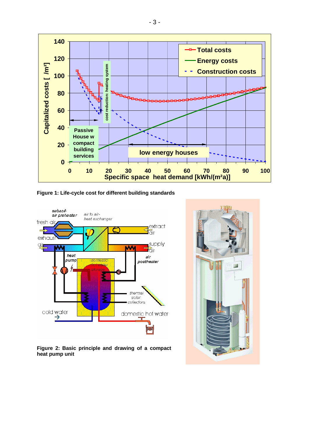

**Figure 1: Life-cycle cost for different building standards**



**Figure 2: Basic principle and drawing of a compact heat pump unit**

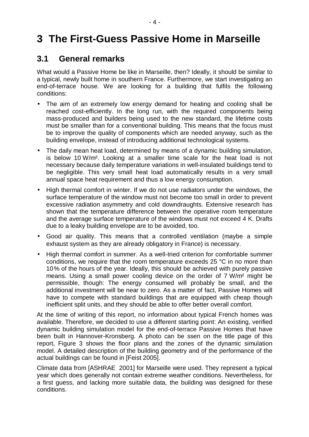# **3 The First-Guess Passive Home in Marseille**

#### **3.1 General remarks**

What would a Passive Home be like in Marseille, then? Ideally, it should be similar to a typical, newly built home in southern France. Furthermore, we start investigating an end-of-terrace house. We are looking for a building that fulfils the following conditions:

- The aim of an extremely low energy demand for heating and cooling shall be reached cost-efficiently. In the long run, with the required components being mass-produced and builders being used to the new standard, the lifetime costs must be smaller than for a conventional building. This means that the focus must be to improve the quality of components which are needed anyway, such as the building envelope, instead of introducing additional technological systems.
- The daily mean heat load, determined by means of a dynamic building simulation, is below 10 W/m². Looking at a smaller time scale for the heat load is not necessary because daily temperature variations in well-insulated buildings tend to be negligible. This very small heat load automatically results in a very small annual space heat requirement and thus a low energy consumption.
- High thermal comfort in winter. If we do not use radiators under the windows, the surface temperature of the window must not become too small in order to prevent excessive radiation asymmetry and cold downdraughts. Extensive research has shown that the temperature difference between the operative room temperature and the average surface temperature of the windows must not exceed 4 K. Drafts due to a leaky building envelope are to be avoided, too.
- Good air quality. This means that a controlled ventilation (maybe a simple exhaust system as they are already obligatory in France) is necessary.
- High thermal comfort in summer. As a well-tried criterion for comfortable summer conditions, we require that the room temperature exceeds 25 °C in no more than 10% of the hours of the year. Ideally, this should be achieved with purely passive means. Using a small power cooling device on the order of 7 W/m² might be permissible, though: The energy consumed will probably be small, and the additional investment will be near to zero. As a matter of fact, Passive Homes will have to compete with standard buildings that are equipped with cheap though inefficient split units, and they should be able to offer better overall comfort.

At the time of writing of this report, no information about typical French homes was available. Therefore, we decided to use a different starting point: An existing, verified dynamic building simulation model for the end-of-terrace Passive Homes that have been built in Hannover-Kronsberg. A photo can be ssen on the title page of this report, Figure 3 shows the floor plans and the zones of the dynamic simulation model. A detailed description of the building geometry and of the performance of the actual buildings can be found in [Feist 2005].

Climate data from [ASHRAE 2001] for Marseille were used. They represent a typical year which does generally not contain extreme weather conditions. Nevertheless, for a first guess, and lacking more suitable data, the building was designed for these conditions.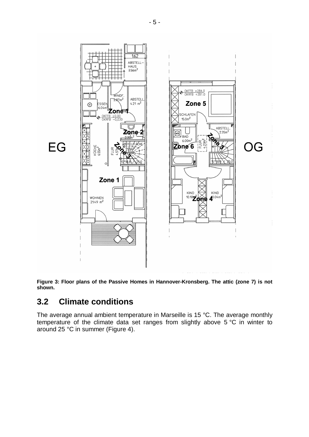

**Figure 3: Floor plans of the Passive Homes in Hannover-Kronsberg. The attic (zone 7) is not shown.**

#### **3.2 Climate conditions**

The average annual ambient temperature in Marseille is 15 °C. The average monthly temperature of the climate data set ranges from slightly above 5 °C in winter to around 25 °C in summer (Figure 4).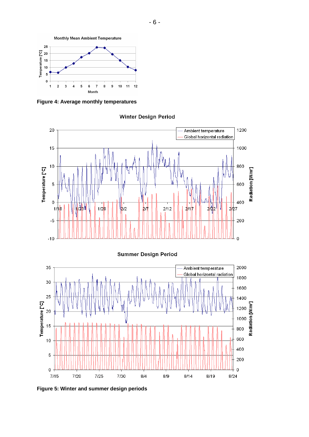

**Figure 4: Average monthly temperatures**



**Winter Design Period** 

**Figure 5: Winter and summer design periods**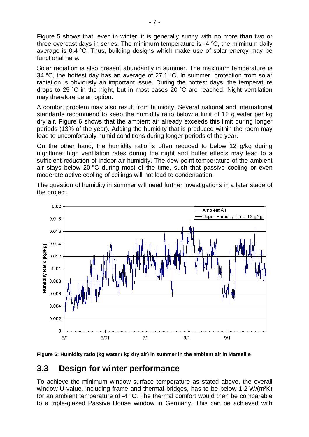Figure 5 shows that, even in winter, it is generally sunny with no more than two or three overcast days in series. The minimum temperature is -4 °C, the miminum daily average is 0.4 °C. Thus, building designs which make use of solar energy may be functional here.

Solar radiation is also present abundantly in summer. The maximum temperature is 34 °C, the hottest day has an average of 27.1 °C. In summer, protection from solar radiation is obviously an important issue. During the hottest days, the temperature drops to 25 °C in the night, but in most cases 20 °C are reached. Night ventilation may therefore be an option.

A comfort problem may also result from humidity. Several national and international standards recommend to keep the humidity ratio below a limit of 12 g water per kg dry air. Figure 6 shows that the ambient air already exceeds this limit during longer periods (13% of the year). Adding the humidity that is produced within the room may lead to uncomfortably humid conditions during longer periods of the year.

On the other hand, the humidity ratio is often reduced to below 12 g/kg during nighttime; high ventilation rates during the night and buffer effects may lead to a sufficient reduction of indoor air humidity. The dew point temperature of the ambient air stays below 20 °C during most of the time, such that passive cooling or even moderate active cooling of ceilings will not lead to condensation.

The question of humidity in summer will need further investigations in a later stage of the project.



**Figure 6: Humidity ratio (kg water / kg dry air) in summer in the ambient air in Marseille**

#### **3.3 Design for winter performance**

To achieve the minimum window surface temperature as stated above, the overall window U-value, including frame and thermal bridges, has to be below 1.2 W/(m<sup>2</sup>K) for an ambient temperature of -4 °C. The thermal comfort would then be comparable to a triple-glazed Passive House window in Germany. This can be achieved with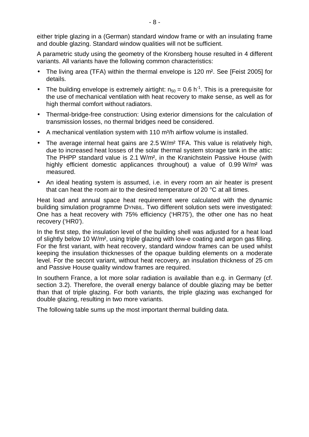either triple glazing in a (German) standard window frame or with an insulating frame and double glazing. Standard window qualities will not be sufficient.

A parametric study using the geometry of the Kronsberg house resulted in 4 different variants. All variants have the following common characteristics:

- The living area (TFA) within the thermal envelope is 120 m<sup>2</sup>. See [Feist 2005] for details.
- The building envelope is extremely airtight:  $n_{50} = 0.6$  h<sup>-1</sup>. This is a prerequisite for the use of mechanical ventilation with heat recovery to make sense, as well as for high thermal comfort without radiators.
- Thermal-bridge-free construction: Using exterior dimensions for the calculation of transmission losses, no thermal bridges need be considered.
- A mechanical ventilation system with 110  $\mathrm{m}^{3}/\mathrm{h}$  airflow volume is installed.
- The average internal heat gains are 2.5 W/m<sup>2</sup> TFA. This value is relatively high, due to increased heat losses of the solar thermal system storage tank in the attic: The PHPP standard value is 2.1 W/m², in the Kranichstein Passive House (with highly efficient domestic applicances throughout) a value of 0.99 W/m<sup>2</sup> was measured.
- An ideal heating system is assumed, i.e. in every room an air heater is present that can heat the room air to the desired temperature of 20 °C at all times.

Heat load and annual space heat requirement were calculated with the dynamic building simulation programme DYNBIL. Two different solution sets were investigated: One has a heat recovery with 75% efficiency ('HR75'), the other one has no heat recovery ('HR0').

In the first step, the insulation level of the building shell was adjusted for a heat load of slightly below 10 W/m², using triple glazing with low-e coating and argon gas filling. For the first variant, with heat recovery, standard window frames can be used whilst keeping the insulation thicknesses of the opaque building elements on a moderate level. For the secont variant, without heat recovery, an insulation thickness of 25 cm and Passive House quality window frames are required.

In southern France, a lot more solar radiation is available than e.g. in Germany (cf. section 3.2). Therefore, the overall energy balance of double glazing may be better than that of triple glazing. For both variants, the triple glazing was exchanged for double glazing, resulting in two more variants.

The following table sums up the most important thermal building data.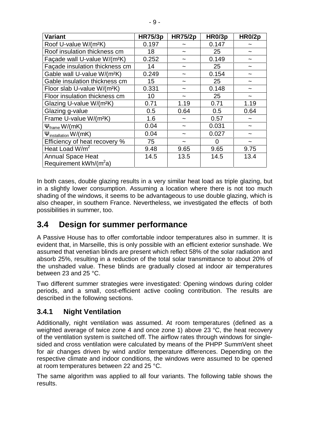| <b>Variant</b>                                       | <b>HR75/3p</b> | <b>HR75/2p</b> | HR0/3p | HR0/2p |
|------------------------------------------------------|----------------|----------------|--------|--------|
| Roof U-value W/(m <sup>2</sup> K)                    | 0.197          |                | 0.147  |        |
| Roof insulation thickness cm                         | 18             |                | 25     |        |
| Façade wall U-value W/(m <sup>2</sup> K)             | 0.252          |                | 0.149  |        |
| Façade insulation thickness cm                       | 14             |                | 25     |        |
| Gable wall U-value W/(m <sup>2</sup> K)              | 0.249          |                | 0.154  |        |
| Gable insulation thickness cm                        | 15             |                | 25     |        |
| Floor slab U-value W/(m <sup>2</sup> K)              | 0.331          |                | 0.148  |        |
| Floor insulation thickness cm                        | 10             |                | 25     |        |
| Glazing U-value W/(m <sup>2</sup> K)                 | 0.71           | 1.19           | 0.71   | 1.19   |
| Glazing g-value                                      | 0.5            | 0.64           | 0.5    | 0.64   |
| Frame U-value W/(m <sup>2</sup> K)                   | 1.6            | ~              | 0.57   | ~      |
| $\Psi_{\text{frame}}$ W/(mK)                         | 0.04           |                | 0.031  |        |
| $\Psi_{\text{instantion}}$ W/(mK)                    | 0.04           |                | 0.027  |        |
| Efficiency of heat recovery %                        | 75             |                | 0      |        |
| Heat Load $W/m^2$                                    | 9.48           | 9.65           | 9.65   | 9.75   |
| <b>Annual Space Heat</b><br>Requirement $kWh/(m^2a)$ | 14.5           | 13.5           | 14.5   | 13.4   |

In both cases, double glazing results in a very similar heat load as triple glazing, but in a slightly lower consumption. Assuming a location where there is not too much shading of the windows, it seems to be advantageous to use double glazing, which is also cheaper, in southern France. Nevertheless, we investigated the effects of both possibilities in summer, too.

#### **3.4 Design for summer performance**

A Passive House has to offer comfortable indoor temperatures also in summer. It is evident that, in Marseille, this is only possible with an efficient exterior sunshade. We assumed that venetian blinds are present which reflect 58% of the solar radiation and absorb 25%, resulting in a reduction of the total solar transmittance to about 20% of the unshaded value. These blinds are gradually closed at indoor air temperatures between 23 and 25 °C.

Two different summer strategies were investigated: Opening windows during colder periods, and a small, cost-efficient active cooling contribution. The results are described in the following sections.

#### **3.4.1 Night Ventilation**

Additionally, night ventilation was assumed. At room temperatures (defined as a weighted average of twice zone 4 and once zone 1) above 23 °C, the heat recovery of the ventilation system is switched off. The airflow rates through windows for singlesided and cross ventilation were calculated by means of the PHPP SummVent sheet for air changes driven by wind and/or temperature differences. Depending on the respective climate and indoor conditions, the windows were assumed to be opened at room temperatures between 22 and 25 °C.

The same algorithm was applied to all four variants. The following table shows the results.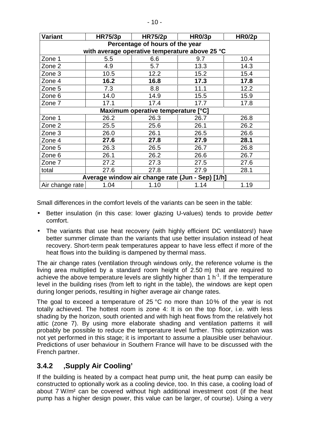| <b>Variant</b>                                   | <b>HR75/3p</b> | <b>HR75/2p</b> | HR0/3p | HR0/2p |  |  |  |  |
|--------------------------------------------------|----------------|----------------|--------|--------|--|--|--|--|
| Percentage of hours of the year                  |                |                |        |        |  |  |  |  |
| with average operative temperature above 25 °C   |                |                |        |        |  |  |  |  |
| Zone 1                                           | 5.5            | 6.6            | 9.7    | 10.4   |  |  |  |  |
| Zone 2                                           | 4.9            | 5.7            | 13.3   | 14.3   |  |  |  |  |
| Zone 3                                           | 10.5           | 12.2           | 15.2   | 15.4   |  |  |  |  |
| Zone 4                                           | 16.2           | 16.8           | 17.3   | 17.8   |  |  |  |  |
| Zone 5                                           | 7.3            | 8.8            | 11.1   | 12.2   |  |  |  |  |
| Zone 6                                           | 14.0           | 14.9           | 15.5   | 15.9   |  |  |  |  |
| Zone 7                                           | 17.1           | 17.4           | 17.7   | 17.8   |  |  |  |  |
| Maximum operative temperature [°C]               |                |                |        |        |  |  |  |  |
| Zone 1                                           | 26.2           | 26.3           | 26.7   | 26.8   |  |  |  |  |
| Zone 2                                           | 25.5           | 25.6           | 26.1   | 26.2   |  |  |  |  |
| Zone 3                                           | 26.0           | 26.1           | 26.5   | 26.6   |  |  |  |  |
| Zone 4                                           | 27.6           | 27.8           | 27.9   | 28.1   |  |  |  |  |
| Zone 5                                           | 26.3           | 26.5           | 26.7   | 26.8   |  |  |  |  |
| Zone 6                                           | 26.1           | 26.2           | 26.6   | 26.7   |  |  |  |  |
| Zone 7                                           | 27.2           | 27.3           | 27.5   | 27.6   |  |  |  |  |
| total                                            | 27.6           | 27.8           | 27.9   | 28.1   |  |  |  |  |
| Average window air change rate (Jun - Sep) [1/h] |                |                |        |        |  |  |  |  |
| Air change rate                                  | 1.04           | 1.10           | 1.14   | 1.19   |  |  |  |  |

Small differences in the comfort levels of the variants can be seen in the table:

- Better insulation (in this case: lower glazing U-values) tends to provide better comfort.
- The variants that use heat recovery (with highly efficient DC ventilators!) have better summer climate than the variants that use better insulation instead of heat recovery. Short-term peak temperatures appear to have less effect if more of the heat flows into the building is dampened by thermal mass.

The air change rates (ventilation through windows only, the reference volume is the living area multiplied by a standard room height of 2.50 m) that are required to achieve the above temperature levels are slightly higher than 1  $h^{-1}$ . If the temperature level in the building rises (from left to right in the table), the windows are kept open during longer periods, resulting in higher average air change rates.

The goal to exceed a temperature of 25 °C no more than 10% of the year is not totally achieved. The hottest room is zone 4: It is on the top floor, i.e. with less shading by the horizon, south oriented and with high heat flows from the relatively hot attic (zone 7). By using more elaborate shading and ventilation patterns it will probably be possible to reduce the temperature level further. This optimization was not yet performed in this stage; it is important to assume a plausible user behaviour. Predictions of user behaviour in Southern France will have to be discussed with the French partner.

#### **3.4.2 'Supply Air Cooling'**

If the building is heated by a compact heat pump unit, the heat pump can easily be constructed to optionally work as a cooling device, too. In this case, a cooling load of about 7 W/m² can be covered without high additional investment cost (if the heat pump has a higher design power, this value can be larger, of course). Using a very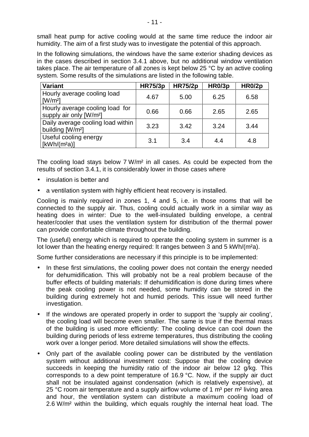small heat pump for active cooling would at the same time reduce the indoor air humidity. The aim of a first study was to investigate the potential of this approach.

In the following simulations, the windows have the same exterior shading devices as in the cases described in section 3.4.1 above, but no additional window ventilation takes place. The air temperature of all zones is kept below 25 °C by an active cooling system. Some results of the simulations are listed in the following table.

| <b>Variant</b>                                                         | <b>HR75/3p</b> | <b>HR75/2p</b> | HR0/3p | HR0/2p |
|------------------------------------------------------------------------|----------------|----------------|--------|--------|
| Hourly average cooling load<br>$\lceil W/m^2 \rceil$                   | 4.67           | 5.00           | 6.25   | 6.58   |
| Hourly average cooling load for<br>supply air only [W/m <sup>2</sup> ] | 0.66           | 0.66           | 2.65   | 2.65   |
| Daily average cooling load within<br>building [W/m <sup>2</sup> ]      | 3.23           | 3.42           | 3.24   | 3.44   |
| Useful cooling energy<br>$[kWh/(m^2a)]$                                | 3.1            | 3.4            | 4.4    | 4.8    |

The cooling load stays below 7 W/m² in all cases. As could be expected from the results of section 3.4.1, it is considerably lower in those cases where

- insulation is better and
- a ventilation system with highly efficient heat recovery is installed.

Cooling is mainly required in zones 1, 4 and 5, i.e. in those rooms that will be connected to the supply air. Thus, cooling could actually work in a similar way as heating does in winter: Due to the well-insulated building envelope, a central heater/cooler that uses the ventilation system for distribution of the thermal power can provide comfortable climate throughout the building.

The (useful) energy which is required to operate the cooling system in summer is a lot lower than the heating energy required: It ranges between 3 and 5 kWh/(m²a).

Some further considerations are necessary if this principle is to be implemented:

- In these first simulations, the cooling power does not contain the energy needed for dehumidification. This will probably not be a real problem because of the buffer effects of building materials: If dehumidification is done during times where the peak cooling power is not needed, some humidity can be stored in the building during extremely hot and humid periods. This issue will need further investigation.
- If the windows are operated properly in order to support the 'supply air cooling', the cooling load will become even smaller. The same is true if the thermal mass of the building is used more efficiently: The cooling device can cool down the building during periods of less extreme temperatures, thus distributing the cooling work over a longer period. More detailed simulations will show the effects.
- Only part of the available cooling power can be distributed by the ventilation system without additional investment cost: Suppose that the cooling device succeeds in keeping the humidity ratio of the indoor air below 12 g/kg. This corresponds to a dew point temperature of 16.9 °C. Now, if the supply air duct shall not be insulated against condensation (which is relatively expensive), at 25 °C room air temperature and a supply airflow volume of 1  $m<sup>3</sup>$  per  $m<sup>2</sup>$  living area and hour, the ventilation system can distribute a maximum cooling load of 2.6 W/m² within the building, which equals roughly the internal heat load. The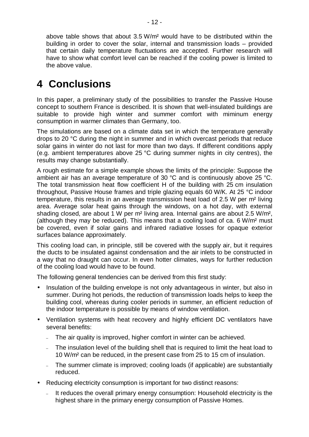above table shows that about 3.5 W/m² would have to be distributed within the building in order to cover the solar, internal and transmission loads – provided that certain daily temperature fluctuations are accepted. Further research will have to show what comfort level can be reached if the cooling power is limited to the above value.

### **4 Conclusions**

In this paper, a preliminary study of the possibilities to transfer the Passive House concept to southern France is described. It is shown that well-insulated buildings are suitable to provide high winter and summer comfort with miminum energy consumption in warmer climates than Germany, too.

The simulations are based on a climate data set in which the temperature generally drops to 20 °C during the night in summer and in which overcast periods that reduce solar gains in winter do not last for more than two days. If different conditions apply (e.g. ambient temperatures above 25 °C during summer nights in city centres), the results may change substantially.

A rough estimate for a simple example shows the limits of the principle: Suppose the ambient air has an average temperature of 30 °C and is continuously above 25 °C. The total transmission heat flow coefficient H of the building with 25 cm insulation throughout, Passive House frames and triple glazing equals 60 W/K. At 25 °C indoor temperature, this results in an average transmission heat load of 2.5 W per m² living area. Average solar heat gains through the windows, on a hot day, with external shading closed, are about 1 W per m² living area. Internal gains are about 2.5 W/m², (although they may be reduced). This means that a cooling load of ca. 6 W/m² must be covered, even if solar gains and infrared radiative losses for opaque exterior surfaces balance approximately.

This cooling load can, in principle, still be covered with the supply air, but it requires the ducts to be insulated against condensation and the air inlets to be constructed in a way that no draught can occur. In even hotter climates, ways for further reduction of the cooling load would have to be found.

The following general tendencies can be derived from this first study:

- Insulation of the building envelope is not only advantageous in winter, but also in summer. During hot periods, the reduction of transmission loads helps to keep the building cool, whereas during cooler periods in summer, an efficient reduction of the indoor temperature is possible by means of window ventilation.
- Ventilation systems with heat recovery and highly efficient DC ventilators have several benefits:
	- The air quality is improved, higher comfort in winter can be achieved.
	- The insulation level of the building shell that is required to limit the heat load to 10 W/m² can be reduced, in the present case from 25 to 15 cm of insulation.
	- The summer climate is improved; cooling loads (if applicable) are substantially reduced.
- Reducing electricity consumption is important for two distinct reasons:
	- It reduces the overall primary energy consumption: Household electricity is the highest share in the primary energy consumption of Passive Homes.